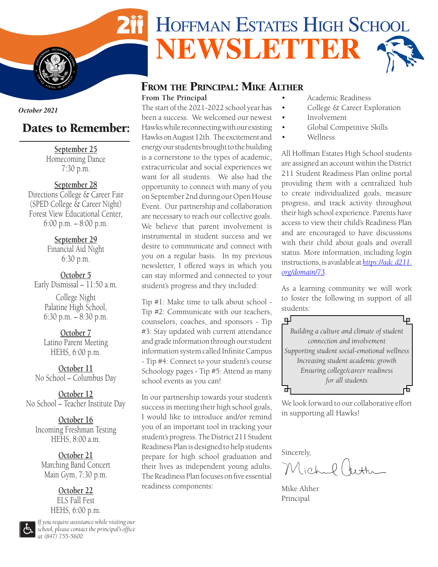

### FROM THE PRINCIPAL: MIKE ALTHER **From The Principal**

The start of the 2021-2022 school year has been a success. We welcomed our newest Hawks while reconnecting with our existing Hawks on August 12th. The excitement and energy our students brought to the building is a cornerstone to the types of academic, extracurricular and social experiences we want for all students. We also had the opportunity to connect with many of you on September 2nd during our Open House Event. Our partnership and collaboration are necessary to reach our collective goals. We believe that parent involvement is instrumental in student success and we desire to communicate and connect with you on a regular basis. In my previous newsletter, I offered ways in which you can stay informed and connected to your student's progress and they included:

Tip #1: Make time to talk about school - Tip #2: Communicate with our teachers, counselors, coaches, and sponsors - Tip #3: Stay updated with current attendance and grade information through our student information system called Infinite Campus - Tip #4: Connect to your student's course Schoology pages - Tip #5: Attend as many school events as you can!

In our partnership towards your student's success in meeting their high school goals, I would like to introduce and/or remind you of an important tool in tracking your student's progress. The District 211 Student Readiness Plan is designed to help students prepare for high school graduation and their lives as independent young adults. The Readiness Plan focuses on five essential readiness components:

- Academic Readiness
- College & Career Exploration
- **Involvement**
- Global Competitive Skills
- Wellness

All Hoffman Estates High School students are assigned an account within the District 211 Student Readiness Plan online portal providing them with a centralized hub to create individualized goals, measure progress, and track activity throughout their high school experience. Parents have access to view their child's Readiness Plan and are encouraged to have discussions with their child about goals and overall status. More information, including login instructions, is available at *[https://adc.d211.](https://adc.d211.org/domain/73) [org/domain/73](https://adc.d211.org/domain/73)*.

As a learning community we will work to foster the following in support of all students:



We look forward to our collaborative effort in supporting all Hawks!

Sincerely,

Michel Creth

Mike Alther Principal

*October 2021*

**I**  $\frac{1}{2}$ 

**S** 

**S TATES** OF AMERICAL

# Dates to Remember:

**September 25** Homecoming Dance 7:30 p.m.

**September 28**

Directions College & Career Fair (SPED College & Career Night) Forest View Educational Center, 6:00 p.m. – 8:00 p.m.

> **September 29** Financial Aid Night 6:30 p.m.

**October 5** Early Dismissal – 11:50 a.m.

> College Night Palatine High School, 6:30 p.m. – 8:30 p.m.

**October 7** Latino Parent Meeting HEHS, 6:00 p.m.

**October 11** No School – Columbus Day

**October 12** No School – Teacher Institute Day

**October 16** Incoming Freshman Testing HEHS, 8:00 a.m.

**October 21** Marching Band Concert Main Gym, 7:30 p.m.

> **October 22** ELS Fall Fest HEHS, 6:00 p.m.

*If you require assistance while visiting our school, please contact the principal's office at (847) 755-5600.*

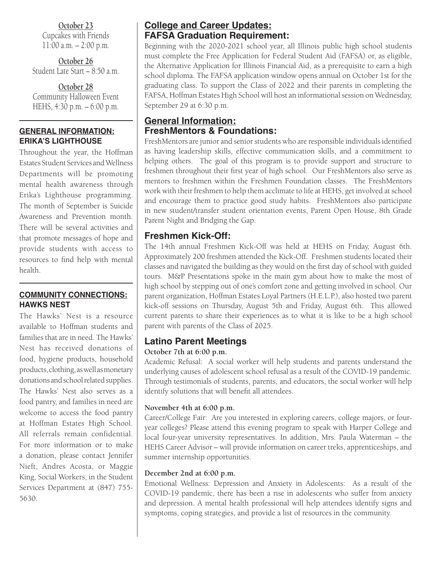**October 23** Cupcakes with Friends 11:00 a.m. – 2:00 p.m.

**October 26** Student Late Start – 8:50 a.m.

**October 28** Community Halloween Event HEHS, 4:30 p.m. – 6:00 p.m.

### **GENERAL INFORMATION: ERIKA'S LIGHTHOUSE**

Throughout the year, the Hoffman Estates Student Services and Wellness Departments will be promoting mental health awareness through Erika's Lighthouse programming. The month of September is Suicide Awareness and Prevention month. There will be several activities and that promote messages of hope and provide students with access to resources to find help with mental health.

### **COMMUNITY CONNECTIONS: HAWKS NEST**

The Hawks' Nest is a resource available to Hoffman students and families that are in need. The Hawks' Nest has received donations of food, hygiene products, household products, clothing, as well as monetary donations and school related supplies. The Hawks' Nest also serves as a food pantry, and families in need are welcome to access the food pantry at Hoffman Estates High School. All referrals remain confidential. For more information or to make a donation, please contact Jennifer Nieft, Andres Acosta, or Maggie King, Social Workers, in the Student Services Department at (847) 755- 5630.

## **College and Career Updates: FAFSA Graduation Requirement:**

Beginning with the 2020-2021 school year, all Illinois public high school students must complete the Free Application for Federal Student Aid (FAFSA) or, as eligible, the Alternative Application for Illinois Financial Aid, as a prerequisite to earn a high school diploma. The FAFSA application window opens annual on October 1st for the graduating class. To support the Class of 2022 and their parents in completing the FAFSA, Hoffman Estates High School will host an informational session on Wednesday, September 29 at 6:30 p.m.

### **General Information: FreshMentors & Foundations:**

FreshMentors are junior and senior students who are responsible individuals identified as having leadership skills, effective communication skills, and a commitment to helping others. The goal of this program is to provide support and structure to freshmen throughout their first year of high school. Our FreshMentors also serve as mentors to freshmen within the Freshmen Foundation classes. The FreshMentors work with their freshmen to help them acclimate to life at HEHS, get involved at school and encourage them to practice good study habits. FreshMentors also participate in new student/transfer student orientation events, Parent Open House, 8th Grade Parent Night and Bridging the Gap.

## **Freshmen Kick-Off:**

The 14th annual Freshmen Kick-Off was held at HEHS on Friday, August 6th. Approximately 200 freshmen attended the Kick-Off. Freshmen students located their classes and navigated the building as they would on the first day of school with guided tours. M&P Presentations spoke in the main gym about how to make the most of high school by stepping out of one's comfort zone and getting involved in school. Our parent organization, Hoffman Estates Loyal Partners (H.E.L.P.), also hosted two parent kick-off sessions on Thursday, August 5th and Friday, August 6th. This allowed current parents to share their experiences as to what it is like to be a high school parent with parents of the Class of 2025.

## **Latino Parent Meetings**

### **October 7th at 6:00 p.m.**

Academic Refusal: A social worker will help students and parents understand the underlying causes of adolescent school refusal as a result of the COVID-19 pandemic. Through testimonials of students, parents, and educators, the social worker will help identify solutions that will benefit all attendees.

### **November 4th at 6:00 p.m.**

Career/College Fair: Are you interested in exploring careers, college majors, or fouryear colleges? Please attend this evening program to speak with Harper College and local four-year university representatives. In addition, Mrs. Paula Waterman – the HEHS Career Advisor – will provide information on career treks, apprenticeships, and summer internship opportunities.

### **December 2nd at 6:00 p.m.**

Emotional Wellness: Depression and Anxiety in Adolescents: As a result of the COVID-19 pandemic, there has been a rise in adolescents who suffer from anxiety and depression. A mental health professional will help attendees identify signs and symptoms, coping strategies, and provide a list of resources in the community.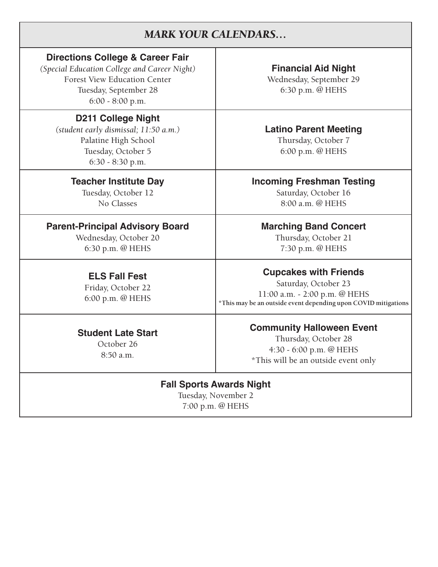# *MARK YOUR CALENDARS…*

## **Directions College & Career Fair**

*(Special Education College and Career Night)* **Financial Aid Night**  Forest View Education Center and Mednesday, September 29 Tuesday, September 28 6:30 p.m. @ HEHS 6:00 - 8:00 p.m.

## **D211 College Night**

*(student early dismissal; 11:50 a.m.)* **Latino Parent Meeting** Palatine High School Thursday, October 7 Tuesday, October 5 6:00 p.m. @ HEHS 6:30 - 8:30 p.m.

## **Parent-Principal Advisory Board Fig. 3. Marching Band Concert**

Wednesday, October 20 Thursday, October 21 6:30 p.m. @ HEHS 7:30 p.m. @ HEHS

## **Teacher Institute Day Incoming Freshman Testing**

Tuesday, October 12 Saturday, October 16 No Classes 8:00 a.m. @ HEHS

**Cupcakes with Friends**<br> **ELS Fall Fest**<br> **Exident October 23** Friday, October 22<br>6:00 p.m. @ HEHS **Friday, October 25** 11:00 a.m. - 2:00 p.m. @ HEHS **Friday, October 25** 

**Community Halloween Event**<br>
October 26 Thursday, October 28<br>
8:50 a.m. \*This will be an outside event only

### **Fall Sports Awards Night**

Tuesday, November 2 7:00 p.m. @ HEHS